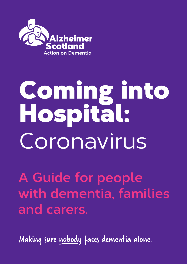

# Coming into Hospital: Coronavirus

**A Guide for people with dementia, families and carers.** 

Making sure nobody faces dementia alone.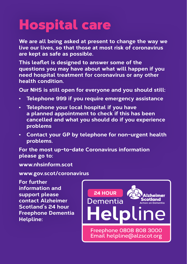# Hospital care

**We are all being asked at present to change the way we live our lives, so that those at most risk of coronavirus are kept as safe as possible.** 

**This leaflet is designed to answer some of the questions you may have about what will happen if you need hospital treatment for coronavirus or any other health condition.** 

**Our NHS is still open for everyone and you should still:** 

- **• Telephone 999 if you require emergency assistance**
- **• Telephone your local hospital if you have a planned appointment to check if this has been cancelled and what you should do if you experience problems**
- **• Contact your GP by telephone for non-urgent health problems.**

**For the most up-to-date Coronavirus information please go to:** 

**www.nhsinform.scot**

**www.gov.scot/coronavirus** 

**For further information and support please contact Alzheimer Scotland's 24 hour Freephone Dementia Helpline:**

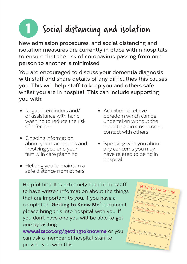## Social distancing and isolation **1**

**New admission procedures, and social distancing and isolation measures are currently in place within hospitals to ensure that the risk of coronavirus passing from one person to another is minimised.**

**You are encouraged to discuss your dementia diagnosis with staff and share details of any difficulties this causes you. This will help staff to keep you and others safe whilst you are in hospital. This can include supporting you with:**

- Regular reminders and/ or assistance with hand washing to reduce the risk of infection
- Ongoing information about your care needs and involving you and your family in care planning
- Helping you to maintain a safe distance from others
- Activities to relieve boredom which can be undertaken without the need to be in close social contact with others
- Speaking with you about any concerns you may have related to being in hospital.

Helpful hint: It is extremely helpful for staff to have written information about the things that are important to you. If you have a completed "**Getting to Know Me**" document please bring this into hospital with you. If you don't have one you will be able to get one by visiting **www.alzscot.org/gettingtoknowme** or you

can ask a member of hospital staff to provide you with this.

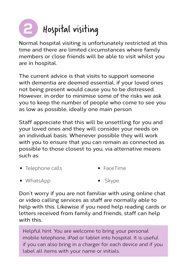### Hospital visiting **2**

**Normal hospital visiting is unfortunately restricted at this time and there are limited circumstances where family members or close friends will be able to visit whilst you are in hospital.** 

**The current advice is that visits to support someone with dementia are deemed essential, if your loved ones not being present would cause you to be distressed. However, in order to minimise some of the risks we ask you to keep the number of people who come to see you as low as possible, ideally one main person.**

**Staff appreciate that this will be unsettling for you and your loved ones and they will consider your needs on an individual basis. Whenever possible they will work with you to ensure that you can remain as connected as possible to those closest to you, via alternative means such as:** 

- Telephone calls • FaceTime
- WhatsApp Skype.

**Don't worry if you are not familiar with using online chat or video calling services as staff are normally able to help with this. Likewise if you need help reading cards or letters received from family and friends, staff can help with this.**

Helpful hint: You are welcome to bring your personal mobile telephone, iPad or tablet into hospital. It is useful if you can also bring in a charger for each device and if you label all items with your name or initials.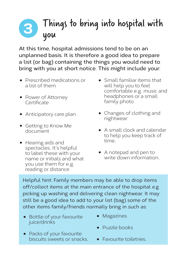#### Things to bring into hospital with you **3**

**At this time, hospital admissions tend to be on an unplanned basis. It is therefore a good idea to prepare a list (or bag) containing the things you would need to bring with you at short notice. This might include your:** 

- Prescribed medications or a list of them
- Power of Attorney **Certificate**
- Anticipatory care plan
- Getting to Know Me document
- Hearing aids and spectacles. It's helpful to label these with your name or initials and what you use them for e.g. reading or distance
- Small familiar items that will help you to feel comfortable e.g. music and headphones or a small family photo
- Changes of clothing and nightwear
- A small clock and calendar to help you keep track of time.
- A notepad and pen to write down information.

Helpful hint: Family members may be able to drop items off/collect items at the main entrance of the hospital e.g picking up washing and delivering clean nightwear. It may still be a good idea to add to your list (bag) some of the other items family/friends normally bring in such as:

- Bottle of your favourite juice/drinks
- Magazines
- Packs of your favourite biscuits sweets or snacks.
- Puzzle books
- Favourite toiletries.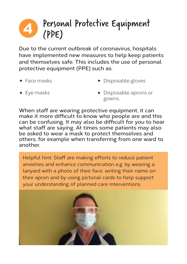#### Personal Protective Equipment (PPE) **4**

**Due to the current outbreak of coronavirus, hospitals have implemented new measures to help keep patients and themselves safe. This includes the use of personal protective equipment (PPE) such as:**

• Face masks

• Disposable gloves

• Eye masks

• Disposable aprons or gowns.

**When staff are wearing protective equipment, it can make it more difficult to know who people are and this can be confusing. It may also be difficult for you to hear what staff are saying. At times some patients may also be asked to wear a mask to protect themselves and others, for example when transferring from one ward to another.**

Helpful hint: Staff are making efforts to reduce patient anxieties and enhance communication e.g. by wearing a lanyard with a photo of their face, writing their name on their apron and by using pictorial cards to help support your understanding of planned care interventions.

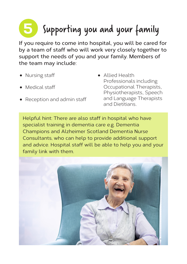# Supporting you and your family **5**

**If you require to come into hospital, you will be cared for by a team of staff who will work very closely together to support the needs of you and your family. Members of the team may include:**

- Nursing staff
- Medical staff
- Reception and admin staff
- Allied Health Professionals including Occupational Therapists, Physiotherapists, Speech and Language Therapists and Dietitians.

Helpful hint: There are also staff in hospital who have specialist training in dementia care e.g. Dementia Champions and Alzheimer Scotland Dementia Nurse Consultants, who can help to provide additional support and advice. Hospital staff will be able to help you and your family link with them.